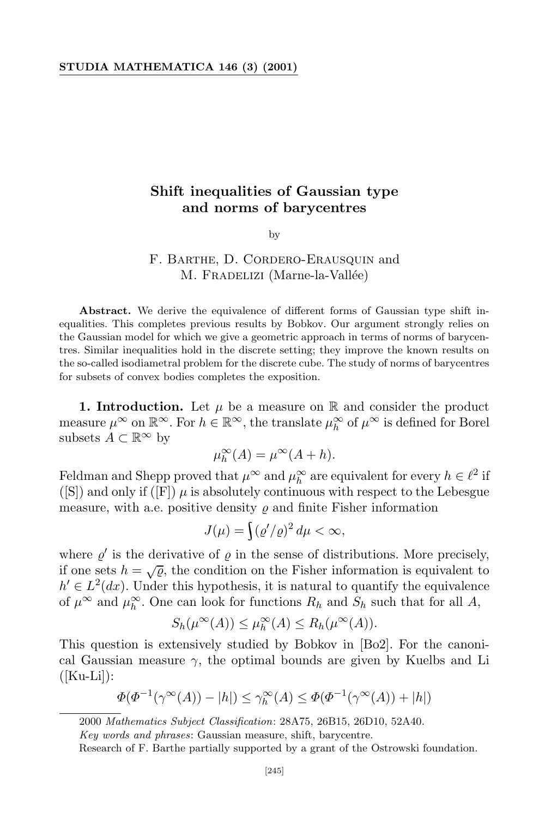## **Shift inequalities of Gaussian type and norms of barycentres**

by

## F. Barthe, D. Cordero-Erausquin and M. FRADELIZI (Marne-la-Vallée)

**Abstract.** We derive the equivalence of different forms of Gaussian type shift inequalities. This completes previous results by Bobkov. Our argument strongly relies on the Gaussian model for which we give a geometric approach in terms of norms of barycentres. Similar inequalities hold in the discrete setting; they improve the known results on the so-called isodiametral problem for the discrete cube. The study of norms of barycentres for subsets of convex bodies completes the exposition.

**1. Introduction.** Let  $\mu$  be a measure on  $\mathbb{R}$  and consider the product measure  $\mu^{\infty}$  on  $\mathbb{R}^{\infty}$ . For  $h \in \mathbb{R}^{\infty}$ , the translate  $\mu^{\infty}_h$  of  $\mu^{\infty}$  is defined for Borel subsets  $A \subset \mathbb{R}^\infty$  by

$$
\mu_h^{\infty}(A) = \mu^{\infty}(A + h).
$$

Feldman and Shepp proved that  $\mu^{\infty}$  and  $\mu^{\infty}_h$  are equivalent for every  $h \in \ell^2$  if ([S]) and only if ( $[F]$ )  $\mu$  is absolutely continuous with respect to the Lebesgue measure, with a.e. positive density  $\rho$  and finite Fisher information

$$
J(\mu) = \int (\varrho'/\varrho)^2 d\mu < \infty,
$$

where  $\varrho'$  is the derivative of  $\varrho$  in the sense of distributions. More precisely, if one sets  $h = \sqrt{\varrho}$ , the condition on the Fisher information is equivalent to  $h' \in L^2(dx)$ . Under this hypothesis, it is natural to quantify the equivalence of  $\mu^{\infty}$  and  $\mu_h^{\infty}$ . One can look for functions  $R_h$  and  $S_h$  such that for all  $A$ ,

$$
S_h(\mu^{\infty}(A)) \leq \mu_h^{\infty}(A) \leq R_h(\mu^{\infty}(A)).
$$

This question is extensively studied by Bobkov in [Bo2]. For the canonical Gaussian measure  $\gamma$ , the optimal bounds are given by Kuelbs and Li  $(|Ku-Li|):$ 

$$
\Phi(\Phi^{-1}(\gamma^{\infty}(A)) - |h|) \leq \gamma^{\infty}(A) \leq \Phi(\Phi^{-1}(\gamma^{\infty}(A)) + |h|)
$$

*Key words and phrases*: Gaussian measure, shift, barycentre.

<sup>2000</sup> *Mathematics Subject Classification*: 28A75, 26B15, 26D10, 52A40.

Research of F. Barthe partially supported by a grant of the Ostrowski foundation.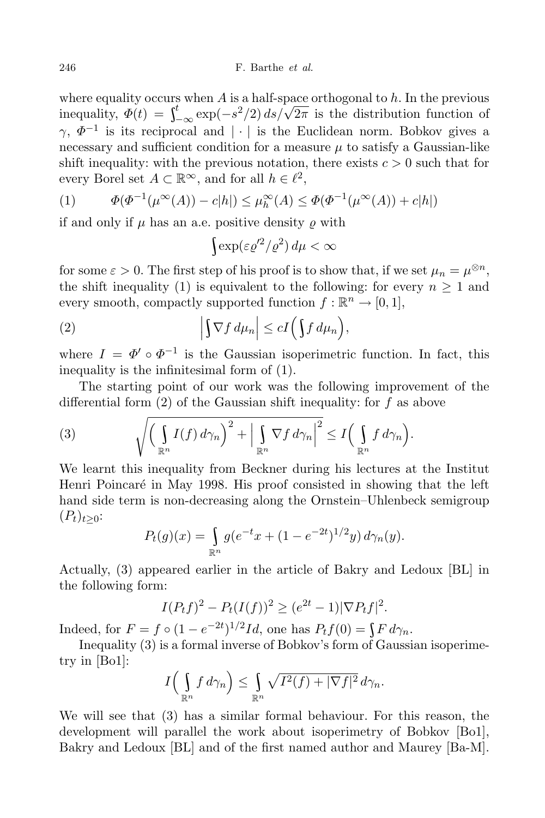where equality occurs when *A* is a half-space orthogonal to *h*. In the previous inequality,  $\Phi(t) = \int_{-\infty}^{t} \exp(-s^2/2) \, ds/\sqrt{2\pi}$  is the distribution function of *γ*,  $Φ^{-1}$  is its reciprocal and *| · |* is the Euclidean norm. Bobkov gives a necessary and sufficient condition for a measure  $\mu$  to satisfy a Gaussian-like shift inequality: with the previous notation, there exists  $c > 0$  such that for every Borel set  $A \subset \mathbb{R}^{\infty}$ , and for all  $h \in \ell^2$ ,

(1) 
$$
\Phi(\Phi^{-1}(\mu^{\infty}(A)) - c|h|) \leq \mu_h^{\infty}(A) \leq \Phi(\Phi^{-1}(\mu^{\infty}(A)) + c|h|)
$$

if and only if  $\mu$  has an a.e. positive density  $\rho$  with

$$
\int \exp(\varepsilon \varrho'^2/\varrho^2) \, d\mu < \infty
$$

for some  $\varepsilon > 0$ . The first step of his proof is to show that, if we set  $\mu_n = \mu^{\otimes n}$ , the shift inequality (1) is equivalent to the following: for every  $n \geq 1$  and every smooth, compactly supported function  $f : \mathbb{R}^n \to [0,1],$ 

(2) 
$$
\left| \int \nabla f \, d\mu_n \right| \le c I \left( \int f \, d\mu_n \right),
$$

where  $I = \Phi' \circ \Phi^{-1}$  is the Gaussian isoperimetric function. In fact, this inequality is the infinitesimal form of (1).

The starting point of our work was the following improvement of the differential form (2) of the Gaussian shift inequality: for *f* as above

(3) 
$$
\sqrt{\left(\int_{\mathbb{R}^n} I(f) d\gamma_n\right)^2 + \left|\int_{\mathbb{R}^n} \nabla f d\gamma_n\right|^2} \leq I\left(\int_{\mathbb{R}^n} f d\gamma_n\right).
$$

We learnt this inequality from Beckner during his lectures at the Institut Henri Poincaré in May 1998. His proof consisted in showing that the left hand side term is non-decreasing along the Ornstein–Uhlenbeck semigroup  $(P_t)_{t>0}$ :

$$
P_t(g)(x) = \int_{\mathbb{R}^n} g(e^{-t}x + (1 - e^{-2t})^{1/2}y) d\gamma_n(y).
$$

Actually, (3) appeared earlier in the article of Bakry and Ledoux [BL] in the following form:

$$
I(P_t f)^2 - P_t (I(f))^2 \ge (e^{2t} - 1) |\nabla P_t f|^2.
$$

Indeed, for  $F = f \circ (1 - e^{-2t})^{1/2}Id$ , one has  $P_t f(0) = \int F d\gamma_n$ .

Inequality (3) is a formal inverse of Bobkov's form of Gaussian isoperimetry in [Bo1]:

$$
I\Big(\int_{\mathbb{R}^n} f\,d\gamma_n\Big) \leq \int_{\mathbb{R}^n} \sqrt{I^2(f) + |\nabla f|^2}\,d\gamma_n.
$$

We will see that (3) has a similar formal behaviour. For this reason, the development will parallel the work about isoperimetry of Bobkov [Bo1], Bakry and Ledoux [BL] and of the first named author and Maurey [Ba-M].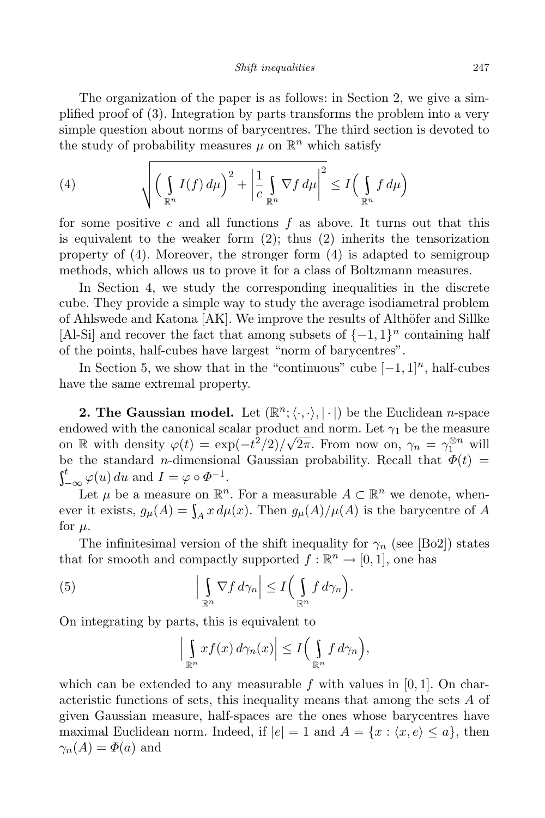*Shift inequalities* 247

The organization of the paper is as follows: in Section 2, we give a simplified proof of (3). Integration by parts transforms the problem into a very simple question about norms of barycentres. The third section is devoted to the study of probability measures  $\mu$  on  $\mathbb{R}^n$  which satisfy

(4) 
$$
\sqrt{\left(\int_{\mathbb{R}^n} I(f) d\mu\right)^2 + \left|\frac{1}{c} \int_{\mathbb{R}^n} \nabla f d\mu\right|^2} \leq I\left(\int_{\mathbb{R}^n} f d\mu\right)
$$

for some positive *c* and all functions *f* as above. It turns out that this is equivalent to the weaker form  $(2)$ ; thus  $(2)$  inherits the tensorization property of (4). Moreover, the stronger form (4) is adapted to semigroup methods, which allows us to prove it for a class of Boltzmann measures.

In Section 4, we study the corresponding inequalities in the discrete cube. They provide a simple way to study the average isodiametral problem of Ahlswede and Katona  $[AK]$ . We improve the results of Althöfer and Sillke [Al-Si] and recover the fact that among subsets of  $\{-1, 1\}$ <sup>n</sup> containing half of the points, half-cubes have largest "norm of barycentres".

In Section 5, we show that in the "continuous" cube  $[-1, 1]^n$ , half-cubes have the same extremal property.

**2.** The Gaussian model. Let  $(\mathbb{R}^n; \langle \cdot, \cdot \rangle, |\cdot|)$  be the Euclidean *n*-space endowed with the canonical scalar product and norm. Let  $\gamma_1$  be the measure on R with density  $\varphi(t) = \exp(-t^2/2)/\sqrt{2\pi}$ . From now on,  $\gamma_n = \gamma_1^{\otimes n}$  will be the standard *n*-dimensional Gaussian probability. Recall that  $\Phi(t)$  =  $\int_{-\infty}^{t} \varphi(u) du$  and  $I = \varphi \circ \Phi^{-1}$ .

Let  $\mu$  be a measure on  $\mathbb{R}^n$ . For a measurable  $A \subset \mathbb{R}^n$  we denote, whenever it exists,  $g_{\mu}(A) = \int_{A} x d\mu(x)$ . Then  $g_{\mu}(A)/\mu(A)$  is the barycentre of *A* for  $\mu$ .

The infinitesimal version of the shift inequality for  $\gamma_n$  (see [Bo2]) states that for smooth and compactly supported  $f : \mathbb{R}^n \to [0,1]$ , one has

(5) 
$$
\left|\int_{\mathbb{R}^n} \nabla f \, d\gamma_n\right| \leq I\Big(\int_{\mathbb{R}^n} f \, d\gamma_n\Big).
$$

On integrating by parts, this is equivalent to

$$
\left|\int_{\mathbb{R}^n} x f(x) d\gamma_n(x)\right| \leq I\Big(\int_{\mathbb{R}^n} f d\gamma_n\Big),\,
$$

which can be extended to any measurable  $f$  with values in  $[0, 1]$ . On characteristic functions of sets, this inequality means that among the sets *A* of given Gaussian measure, half-spaces are the ones whose barycentres have maximal Euclidean norm. Indeed, if  $|e| = 1$  and  $A = \{x : \langle x, e \rangle \leq a\}$ , then  $\gamma_n(A) = \Phi(a)$  and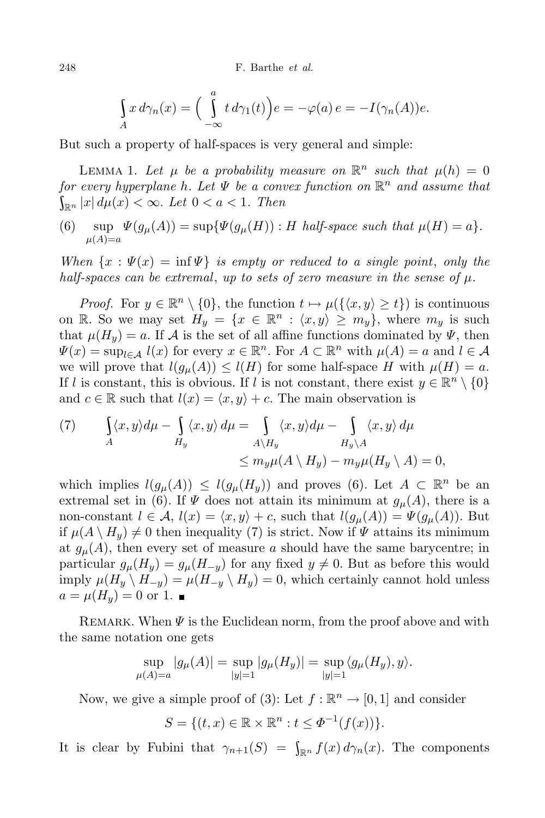248 F. Barthe *et al.*

$$
\int_A x \, d\gamma_n(x) = \left( \int_{-\infty}^a t \, d\gamma_1(t) \right) e = -\varphi(a) \, e = -I(\gamma_n(A))e.
$$

But such a property of half-spaces is very general and simple:

LEMMA 1. Let  $\mu$  be a probability measure on  $\mathbb{R}^n$  such that  $\mu(h) = 0$ *for every hyperplane h. Let Ψ be a convex function on* R *<sup>n</sup> and assume that*  $\int_{\mathbb{R}^n} |x| \, d\mu(x) < \infty$ . Let  $0 < a < 1$ . Then

 $W(6)$  sup  $\Psi(g_{\mu}(A)) = \sup \{\Psi(g_{\mu}(H)) : H \text{ half-space such that } \mu(H) = a\}.$  $\mu(A)=a$ 

*When*  $\{x : \Psi(x) = \inf \Psi\}$  *is empty or reduced to a single point, only the half-spaces can be extremal*, *up to sets of zero measure in the sense of*  $\mu$ *.* 

*Proof.* For  $y \in \mathbb{R}^n \setminus \{0\}$ , the function  $t \mapsto \mu(\{\langle x, y \rangle \ge t\})$  is continuous on R. So we may set  $H_y = \{x \in \mathbb{R}^n : \langle x, y \rangle \ge m_y\}$ , where  $m_y$  is such that  $\mu(H_u) = a$ . If *A* is the set of all affine functions dominated by  $\Psi$ , then  $\Psi(x) = \sup_{l \in \mathcal{A}} l(x)$  for every  $x \in \mathbb{R}^n$ . For  $A \subset \mathbb{R}^n$  with  $\mu(A) = a$  and  $l \in \mathcal{A}$ we will prove that  $l(g_\mu(A)) \leq l(H)$  for some half-space *H* with  $\mu(H) = a$ . If *l* is constant, this is obvious. If *l* is not constant, there exist  $y \in \mathbb{R}^n \setminus \{0\}$ and  $c \in \mathbb{R}$  such that  $l(x) = \langle x, y \rangle + c$ . The main observation is

(7) 
$$
\int_{A} \langle x, y \rangle d\mu - \int_{H_y} \langle x, y \rangle d\mu = \int_{A \setminus H_y} \langle x, y \rangle d\mu - \int_{H_y \setminus A} \langle x, y \rangle d\mu
$$

$$
\leq m_y \mu(A \setminus H_y) - m_y \mu(H_y \setminus A) = 0,
$$

which implies  $l(g_{\mu}(A)) \leq l(g_{\mu}(H_y))$  and proves (6). Let  $A \subset \mathbb{R}^n$  be an extremal set in (6). If  $\Psi$  does not attain its minimum at  $g_{\mu}(A)$ , there is a non-constant  $l \in \mathcal{A}$ ,  $l(x) = \langle x, y \rangle + c$ , such that  $l(g_{\mu}(A)) = \Psi(g_{\mu}(A))$ . But if  $\mu(A \setminus H_y) \neq 0$  then inequality (7) is strict. Now if  $\Psi$  attains its minimum at  $g_{\mu}(A)$ , then every set of measure *a* should have the same barycentre; in particular  $g_{\mu}(H_y) = g_{\mu}(H_{-y})$  for any fixed  $y \neq 0$ . But as before this would imply  $\mu(H_y \setminus H_{-y}) = \mu(H_{-y} \setminus H_y) = 0$ , which certainly cannot hold unless  $a = \mu(H_u) = 0$  or 1.

REMARK. When  $\Psi$  is the Euclidean norm, from the proof above and with the same notation one gets

$$
\sup_{\mu(A)=a} |g_{\mu}(A)| = \sup_{|y|=1} |g_{\mu}(H_y)| = \sup_{|y|=1} \langle g_{\mu}(H_y), y \rangle.
$$

Now, we give a simple proof of (3): Let  $f : \mathbb{R}^n \to [0,1]$  and consider

$$
S = \{(t, x) \in \mathbb{R} \times \mathbb{R}^n : t \le \Phi^{-1}(f(x))\}.
$$

It is clear by Fubini that  $\gamma_{n+1}(S) = \int_{\mathbb{R}^n} f(x) d\gamma_n(x)$ . The components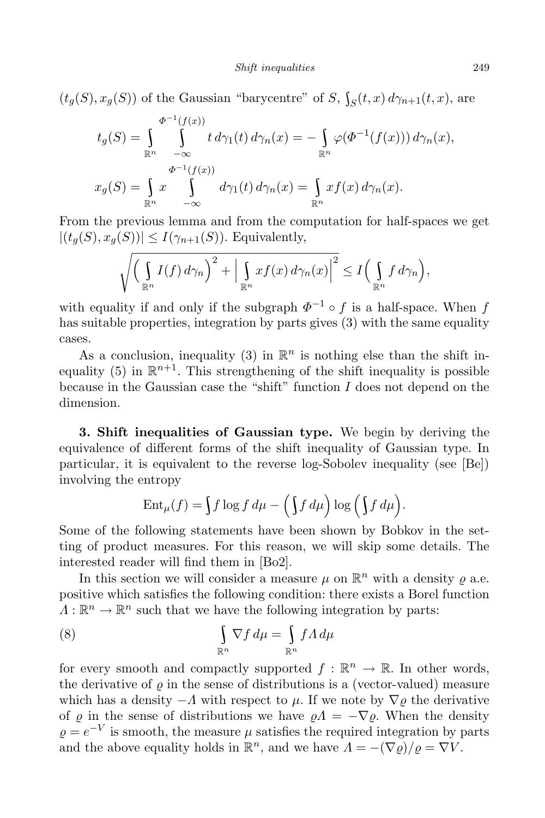$(t_g(S), x_g(S))$  of the Gaussian "barycentre" of *S*,  $\int_S(t, x) d\gamma_{n+1}(t, x)$ , are

$$
t_g(S) = \int_{\mathbb{R}^n} \int_{-\infty}^{\Phi^{-1}(f(x))} t \, d\gamma_1(t) \, d\gamma_n(x) = -\int_{\mathbb{R}^n} \varphi(\Phi^{-1}(f(x))) \, d\gamma_n(x),
$$
  

$$
x_g(S) = \int_{\mathbb{R}^n} x \int_{-\infty}^{\Phi^{-1}(f(x))} d\gamma_1(t) \, d\gamma_n(x) = \int_{\mathbb{R}^n} x f(x) \, d\gamma_n(x).
$$

From the previous lemma and from the computation for half-spaces we get  $|(t_g(S), x_g(S))| \leq I(\gamma_{n+1}(S))$ . Equivalently,

$$
\sqrt{\left(\int_{\mathbb{R}^n} I(f) d\gamma_n\right)^2 + \left|\int_{\mathbb{R}^n} x f(x) d\gamma_n(x)\right|^2} \le I\left(\int_{\mathbb{R}^n} f d\gamma_n\right),
$$

with equality if and only if the subgraph  $\Phi^{-1} \circ f$  is a half-space. When *f* has suitable properties, integration by parts gives (3) with the same equality cases.

As a conclusion, inequality (3) in  $\mathbb{R}^n$  is nothing else than the shift inequality (5) in  $\mathbb{R}^{n+1}$ . This strengthening of the shift inequality is possible because in the Gaussian case the "shift" function *I* does not depend on the dimension.

**3. Shift inequalities of Gaussian type.** We begin by deriving the equivalence of different forms of the shift inequality of Gaussian type. In particular, it is equivalent to the reverse log-Sobolev inequality (see [Be]) involving the entropy

$$
\operatorname{Ent}_{\mu}(f) = \int f \log f \, d\mu - \left( \int f \, d\mu \right) \log \left( \int f \, d\mu \right).
$$

Some of the following statements have been shown by Bobkov in the setting of product measures. For this reason, we will skip some details. The interested reader will find them in [Bo2].

In this section we will consider a measure  $\mu$  on  $\mathbb{R}^n$  with a density  $\rho$  a.e. positive which satisfies the following condition: there exists a Borel function  $\Lambda: \mathbb{R}^n \to \mathbb{R}^n$  such that we have the following integration by parts:

(8) 
$$
\int_{\mathbb{R}^n} \nabla f \, d\mu = \int_{\mathbb{R}^n} f \Lambda \, d\mu
$$

for every smooth and compactly supported  $f: \mathbb{R}^n \to \mathbb{R}$ . In other words, the derivative of  $\rho$  in the sense of distributions is a (vector-valued) measure which has a density  $-\Lambda$  with respect to  $\mu$ . If we note by  $\nabla \rho$  the derivative of  $\rho$  in the sense of distributions we have  $\rho A = -\nabla \rho$ . When the density  $\varrho = e^{-V}$  is smooth, the measure  $\mu$  satisfies the required integration by parts and the above equality holds in  $\mathbb{R}^n$ , and we have  $\Lambda = -(\nabla \varrho)/\varrho = \nabla V$ .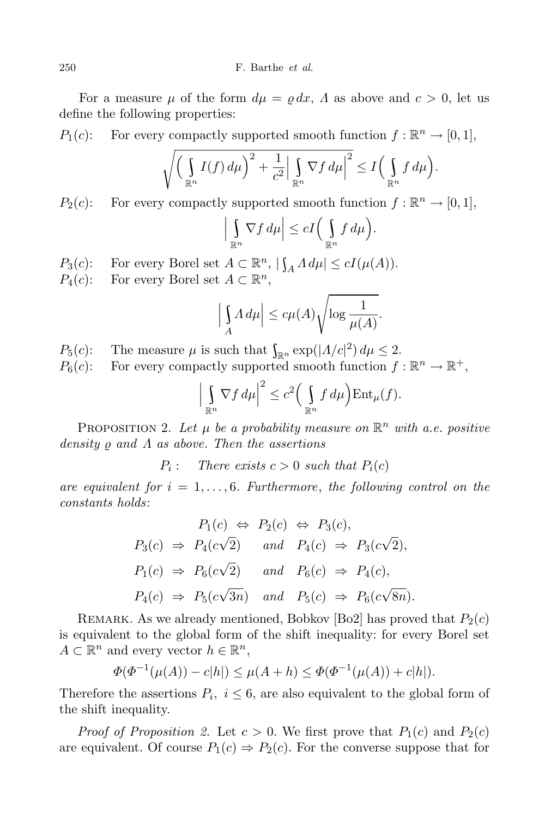For a measure  $\mu$  of the form  $d\mu = \rho dx$ ,  $\Lambda$  as above and  $c > 0$ , let us define the following properties:

*P*<sub>1</sub>(*c*): For every compactly supported smooth function  $f : \mathbb{R}^n \to [0,1]$ ,

$$
\sqrt{\bigg(\int_{\mathbb{R}^n} I(f) d\mu\bigg)^2 + \frac{1}{c^2} \Big|\int_{\mathbb{R}^n} \nabla f d\mu\Big|^2} \leq I\bigg(\int_{\mathbb{R}^n} f d\mu\bigg).
$$

*P*<sub>2</sub>(*c*): For every compactly supported smooth function  $f : \mathbb{R}^n \to [0,1]$ ,

$$
\left|\int_{\mathbb{R}^n} \nabla f \, d\mu\right| \le c I\Big(\int_{\mathbb{R}^n} f \, d\mu\Big).
$$

*P*<sub>3</sub>(*c*): For every Borel set  $A \subset \mathbb{R}^n$ ,  $|\int_A \Lambda d\mu| \le cI(\mu(A)).$ 

 $P_4(c)$ : For every Borel set  $A \subset \mathbb{R}^n$ ,

$$
\left| \int_A \Lambda \, d\mu \right| \le c\mu(A) \sqrt{\log \frac{1}{\mu(A)}}.
$$

 $P_5(c)$ : The measure  $\mu$  is such that  $\int_{\mathbb{R}^n} \exp(|\Lambda/c|^2) d\mu \leq 2$ .

 $P_6(c)$ : For every compactly supported smooth function  $f : \mathbb{R}^n \to \mathbb{R}^+,$ 

$$
\left|\int_{\mathbb{R}^n} \nabla f \, d\mu\right|^2 \leq c^2 \left(\int_{\mathbb{R}^n} f \, d\mu\right) \text{Ent}_{\mu}(f).
$$

PROPOSITION 2. Let  $\mu$  be a probability measure on  $\mathbb{R}^n$  with a.e. positive *density ρ and Λ as above. Then the assertions* 

 $P_i$ : *There exists*  $c > 0$  *such that*  $P_i(c)$ 

*are equivalent for*  $i = 1, \ldots, 6$ *. Furthermore, the following control on the constants holds*:

$$
P_1(c) \Leftrightarrow P_2(c) \Leftrightarrow P_3(c),
$$
  
\n
$$
P_3(c) \Rightarrow P_4(c\sqrt{2}) \quad and \quad P_4(c) \Rightarrow P_3(c\sqrt{2}),
$$
  
\n
$$
P_1(c) \Rightarrow P_6(c\sqrt{2}) \quad and \quad P_6(c) \Rightarrow P_4(c),
$$
  
\n
$$
P_4(c) \Rightarrow P_5(c\sqrt{3n}) \quad and \quad P_5(c) \Rightarrow P_6(c\sqrt{8n}).
$$

REMARK. As we already mentioned, Bobkov [Bo2] has proved that  $P_2(c)$ is equivalent to the global form of the shift inequality: for every Borel set  $A \subset \mathbb{R}^n$  and every vector  $h \in \mathbb{R}^n$ ,

$$
\Phi(\Phi^{-1}(\mu(A)) - c|h|) \le \mu(A + h) \le \Phi(\Phi^{-1}(\mu(A)) + c|h|).
$$

Therefore the assertions  $P_i$ ,  $i \leq 6$ , are also equivalent to the global form of the shift inequality.

*Proof of Proposition* 2. Let  $c > 0$ . We first prove that  $P_1(c)$  and  $P_2(c)$ are equivalent. Of course  $P_1(c) \Rightarrow P_2(c)$ . For the converse suppose that for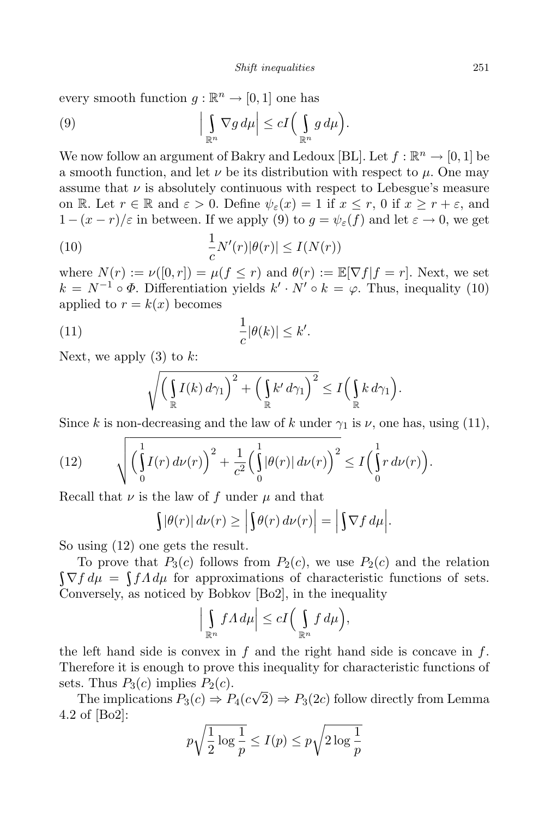every smooth function  $g : \mathbb{R}^n \to [0,1]$  one has

(9) 
$$
\left|\int_{\mathbb{R}^n} \nabla g \, d\mu\right| \le c I\left(\int_{\mathbb{R}^n} g \, d\mu\right).
$$

We now follow an argument of Bakry and Ledoux [BL]. Let  $f : \mathbb{R}^n \to [0,1]$  be a smooth function, and let  $\nu$  be its distribution with respect to  $\mu$ . One may assume that  $\nu$  is absolutely continuous with respect to Lebesgue's measure on R. Let  $r \in \mathbb{R}$  and  $\varepsilon > 0$ . Define  $\psi_{\varepsilon}(x) = 1$  if  $x \leq r, 0$  if  $x \geq r + \varepsilon$ , and 1 −  $(x - r)/ε$  in between. If we apply (9) to  $g = \psi_{ε}(f)$  and let  $ε → 0$ , we get

(10) 
$$
\frac{1}{c}N'(r)|\theta(r)| \le I(N(r))
$$

where  $N(r) := \nu([0, r]) = \mu(f \leq r)$  and  $\theta(r) := \mathbb{E}[\nabla f | f = r]$ . Next, we set  $k = N^{-1} \circ \Phi$ . Differentiation yields  $k' \cdot N' \circ k = \varphi$ . Thus, inequality (10) applied to  $r = k(x)$  becomes

(11) 
$$
\frac{1}{c}|\theta(k)| \leq k'.
$$

Next, we apply (3) to *k*:

$$
\sqrt{\left(\int_{\mathbb{R}} I(k) d\gamma_1\right)^2 + \left(\int_{\mathbb{R}} k' d\gamma_1\right)^2} \le I\left(\int_{\mathbb{R}} k d\gamma_1\right).
$$

Since *k* is non-decreasing and the law of *k* under  $\gamma_1$  is *ν*, one has, using (11),

(12) 
$$
\sqrt{\left(\int_{0}^{1} I(r) d\nu(r)\right)^{2} + \frac{1}{c^{2}} \left(\int_{0}^{1} |\theta(r)| d\nu(r)\right)^{2}} \le I \left(\int_{0}^{1} r d\nu(r)\right).
$$

Recall that  $\nu$  is the law of  $f$  under  $\mu$  and that

$$
\int |\theta(r)| d\nu(r) \ge \left| \int \theta(r) d\nu(r) \right| = \left| \int \nabla f d\mu \right|.
$$

So using (12) one gets the result.

To prove that  $P_3(c)$  follows from  $P_2(c)$ , we use  $P_2(c)$  and the relation  $\nabla f d\mu = \int f \Lambda d\mu$  for approximations of characteristic functions of sets. Conversely, as noticed by Bobkov [Bo2], in the inequality

$$
\left|\int_{\mathbb{R}^n} f \Lambda \, d\mu\right| \le c I\Big(\int_{\mathbb{R}^n} f \, d\mu\Big),\
$$

the left hand side is convex in *f* and the right hand side is concave in *f*. Therefore it is enough to prove this inequality for characteristic functions of sets. Thus  $P_3(c)$  implies  $P_2(c)$ .

The implications  $P_3(c) \Rightarrow P_4(c\sqrt{2}) \Rightarrow P_3(2c)$  follow directly from Lemma 4.2 of [Bo2]:

$$
p\sqrt{\frac{1}{2}\log\frac{1}{p}} \le I(p) \le p\sqrt{2\log\frac{1}{p}}
$$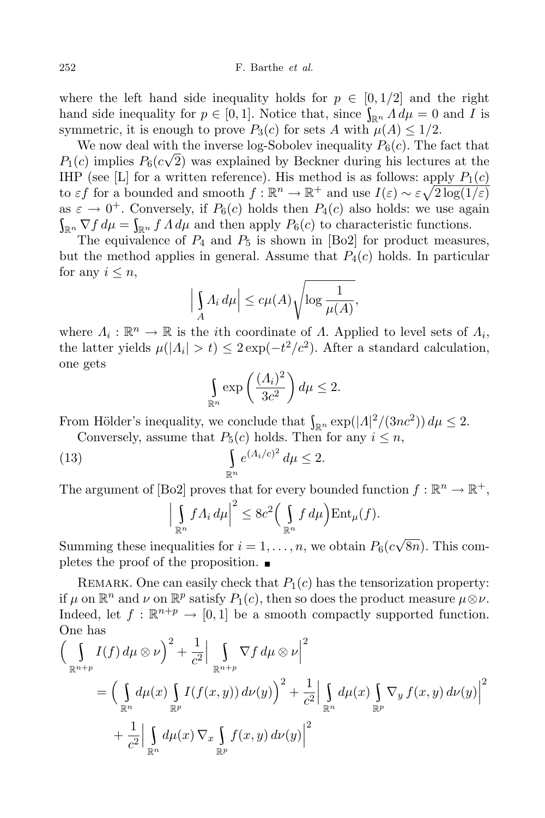where the left hand side inequality holds for  $p \in [0, 1/2]$  and the right hand side inequality for  $p \in [0,1]$ . Notice that, since  $\int_{\mathbb{R}^n} A d\mu = 0$  and *I* is symmetric, it is enough to prove  $P_3(c)$  for sets *A* with  $\mu(A) \leq 1/2$ .

We now deal with the inverse log-Sobolev inequality  $P_6(c)$ . The fact that  $P_1(c)$  implies  $P_6(c\sqrt{2})$  was explained by Beckner during his lectures at the IHP (see [L] for a written reference). His method is as follows: apply  $P_1(c)$ to *εf* for a bounded and smooth  $f : \mathbb{R}^n \to \mathbb{R}^+$  and use  $I(\varepsilon) \sim \varepsilon \sqrt{2 \log(1/\varepsilon)}$ as  $\varepsilon \to 0^+$ . Conversely, if  $P_6(c)$  holds then  $P_4(c)$  also holds: we use again  $\int_{\mathbb{R}^n} \nabla f \, d\mu = \int_{\mathbb{R}^n} f \, A \, d\mu$  and then apply  $P_6(c)$  to characteristic functions.

The equivalence of  $P_4$  and  $P_5$  is shown in [Bo2] for product measures, but the method applies in general. Assume that  $P_4(c)$  holds. In particular for any  $i \leq n$ ,

$$
\left| \int_{A} A_i \, d\mu \right| \le c \mu(A) \sqrt{\log \frac{1}{\mu(A)}},
$$

where  $\Lambda_i : \mathbb{R}^n \to \mathbb{R}$  is the *i*th coordinate of *Λ*. Applied to level sets of  $\Lambda_i$ , the latter yields  $\mu(|\Lambda_i| > t) \leq 2 \exp(-t^2/c^2)$ . After a standard calculation, one gets

$$
\int_{\mathbb{R}^n} \exp\left(\frac{(A_i)^2}{3c^2}\right) d\mu \le 2.
$$

From Hölder's inequality, we conclude that  $\int_{\mathbb{R}^n} \exp(|\Lambda|^2/(3nc^2)) d\mu \leq 2$ .

Conversely, assume that  $P_5(c)$  holds. Then for any  $i \leq n$ ,

(13) 
$$
\int_{\mathbb{R}^n} e^{(\Lambda_i/c)^2} d\mu \leq 2.
$$

The argument of [Bo2] proves that for every bounded function  $f : \mathbb{R}^n \to \mathbb{R}^+,$ 

$$
\left|\int_{\mathbb{R}^n} f\Lambda_i \, d\mu\right|^2 \leq 8c^2 \left(\int_{\mathbb{R}^n} f \, d\mu\right) \text{Ent}_{\mu}(f).
$$

Summing these inequalities for  $i = 1, \ldots, n$ , we obtain  $P_6(c\sqrt{8n})$ . This completes the proof of the proposition.  $\blacksquare$ 

REMARK. One can easily check that  $P_1(c)$  has the tensorization property: if  $\mu$  on  $\mathbb{R}^n$  and  $\nu$  on  $\mathbb{R}^p$  satisfy  $P_1(c)$ , then so does the product measure  $\mu \otimes \nu$ . Indeed, let  $f : \mathbb{R}^{n+p} \to [0,1]$  be a smooth compactly supported function. One has

$$
\left(\int_{\mathbb{R}^{n+p}} I(f) d\mu \otimes \nu\right)^{2} + \frac{1}{c^{2}} \Big| \int_{\mathbb{R}^{n+p}} \nabla f d\mu \otimes \nu \Big|^{2}
$$
\n
$$
= \left(\int_{\mathbb{R}^{n}} d\mu(x) \int_{\mathbb{R}^{p}} I(f(x, y)) d\nu(y)\right)^{2} + \frac{1}{c^{2}} \Big| \int_{\mathbb{R}^{n}} d\mu(x) \int_{\mathbb{R}^{p}} \nabla_{y} f(x, y) d\nu(y)\Big|^{2}
$$
\n
$$
+ \frac{1}{c^{2}} \Big| \int_{\mathbb{R}^{n}} d\mu(x) \nabla_{x} \int_{\mathbb{R}^{p}} f(x, y) d\nu(y)\Big|^{2}
$$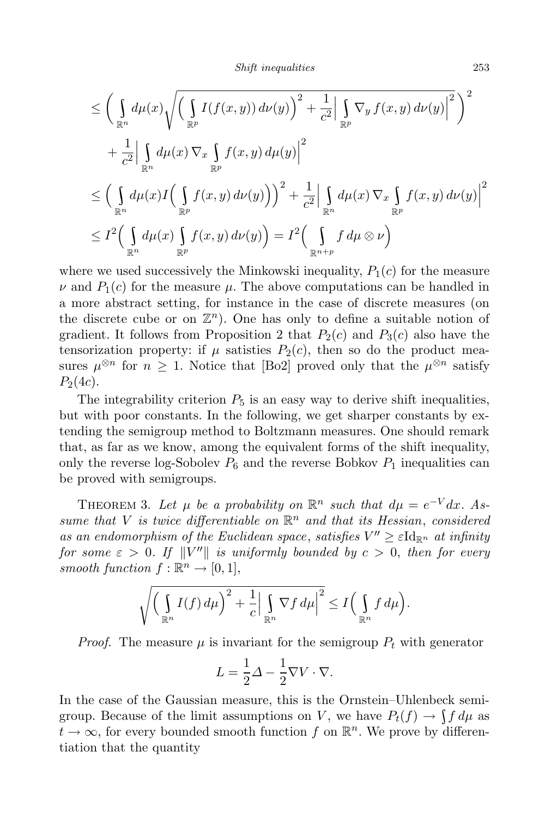$$
\leq \left(\int_{\mathbb{R}^n} d\mu(x) \sqrt{\left(\int_{\mathbb{R}^p} I(f(x, y)) d\nu(y)\right)^2 + \frac{1}{c^2} \Big|\int_{\mathbb{R}^p} \nabla_y f(x, y) d\nu(y)\Big|^2}\right)^2 \n+ \frac{1}{c^2} \Big|\int_{\mathbb{R}^n} d\mu(x) \nabla_x \int_{\mathbb{R}^p} f(x, y) d\mu(y)\Big|^2 \n\leq \left(\int_{\mathbb{R}^n} d\mu(x) I\left(\int_{\mathbb{R}^p} f(x, y) d\nu(y)\right)\right)^2 + \frac{1}{c^2} \Big|\int_{\mathbb{R}^n} d\mu(x) \nabla_x \int_{\mathbb{R}^p} f(x, y) d\nu(y)\Big|^2 \n\leq I^2 \Big(\int_{\mathbb{R}^n} d\mu(x) \int_{\mathbb{R}^p} f(x, y) d\nu(y)\Big) = I^2 \Big(\int_{\mathbb{R}^{n+p}} f d\mu \otimes \nu\Big)
$$

where we used successively the Minkowski inequality,  $P_1(c)$  for the measure  $\nu$  and  $P_1(c)$  for the measure  $\mu$ . The above computations can be handled in a more abstract setting, for instance in the case of discrete measures (on the discrete cube or on  $\mathbb{Z}^n$ ). One has only to define a suitable notion of gradient. It follows from Proposition 2 that  $P_2(c)$  and  $P_3(c)$  also have the tensorization property: if  $\mu$  satisties  $P_2(c)$ , then so do the product measures  $\mu^{\otimes n}$  for  $n \geq 1$ . Notice that [Bo2] proved only that the  $\mu^{\otimes n}$  satisfy  $P_2(4c)$ .

The integrability criterion  $P_5$  is an easy way to derive shift inequalities, but with poor constants. In the following, we get sharper constants by extending the semigroup method to Boltzmann measures. One should remark that, as far as we know, among the equivalent forms of the shift inequality, only the reverse log-Sobolev  $P_6$  and the reverse Bobkov  $P_1$  inequalities can be proved with semigroups.

THEOREM 3. Let  $\mu$  be a probability on  $\mathbb{R}^n$  such that  $d\mu = e^{-V}dx$ . As*sume that*  $V$  *is twice differentiable on*  $\mathbb{R}^n$  *and that its Hessian, considered as an endomorphism of the Euclidean space*, *satisfies*  $V'' \geq \varepsilon \mathrm{Id}_{\mathbb{R}^n}$  *at infinity*  $f$ *or*  $some \varepsilon > 0$ . If  $\|V''\|$  is uniformly bounded by  $c > 0$ , then for every *smooth function*  $f : \mathbb{R}^n \to [0, 1],$ 

$$
\sqrt{\bigg(\int_{\mathbb{R}^n} I(f) d\mu\bigg)^2 + \frac{1}{c} \Big|\int_{\mathbb{R}^n} \nabla f d\mu\Big|^2} \leq I\bigg(\int_{\mathbb{R}^n} f d\mu\bigg).
$$

*Proof.* The measure  $\mu$  is invariant for the semigroup  $P_t$  with generator

$$
L = \frac{1}{2}\Delta - \frac{1}{2}\nabla V \cdot \nabla.
$$

In the case of the Gaussian measure, this is the Ornstein–Uhlenbeck semigroup. Because of the limit assumptions on *V*, we have  $P_t(f) \to \int f d\mu$  as  $t \to \infty$ , for every bounded smooth function  $f$  on  $\mathbb{R}^n$ . We prove by differentiation that the quantity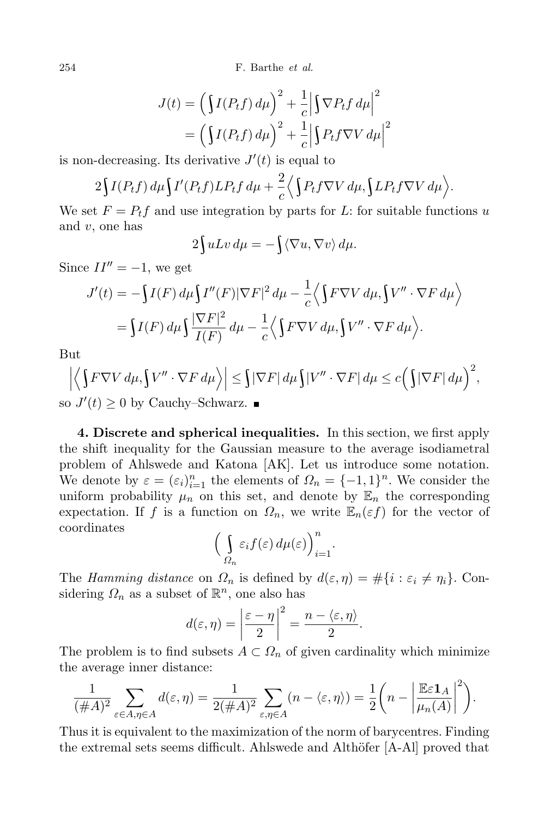254 F. Barthe *et al.*

$$
J(t) = \left(\int I(P_t f) d\mu\right)^2 + \frac{1}{c} \left|\int \nabla P_t f d\mu\right|^2
$$
  
=  $\left(\int I(P_t f) d\mu\right)^2 + \frac{1}{c} \left|\int P_t f \nabla V d\mu\right|^2$ 

is non-decreasing. Its derivative  $J'(t)$  is equal to

$$
2\int I(P_t f) d\mu \int I'(P_t f) L P_t f d\mu + \frac{2}{c} \Big\langle \int P_t f \nabla V d\mu, \int L P_t f \nabla V d\mu \Big\rangle.
$$

We set  $F = P_t f$  and use integration by parts for L: for suitable functions *u* and *v*, one has

$$
2\int uLv \, d\mu = -\int \langle \nabla u, \nabla v \rangle \, d\mu.
$$

Since  $II'' = -1$ , we get

$$
J'(t) = -\int I(F) d\mu \int I''(F) |\nabla F|^2 d\mu - \frac{1}{c} \langle \int F \nabla V d\mu, \int V'' \cdot \nabla F d\mu \rangle
$$
  
= 
$$
\int I(F) d\mu \int \frac{|\nabla F|^2}{I(F)} d\mu - \frac{1}{c} \langle \int F \nabla V d\mu, \int V'' \cdot \nabla F d\mu \rangle.
$$

But

$$
\left| \left\langle \int F \nabla V \, d\mu, \int V'' \cdot \nabla F \, d\mu \right\rangle \right| \leq \int |\nabla F| \, d\mu \int |V'' \cdot \nabla F| \, d\mu \leq c \left( \int |\nabla F| \, d\mu \right)^2,
$$
  
so  $J'(t) \geq 0$  by Cauchy–Schwarz.

**4. Discrete and spherical inequalities.** In this section, we first apply the shift inequality for the Gaussian measure to the average isodiametral problem of Ahlswede and Katona [AK]. Let us introduce some notation. We denote by  $\varepsilon = (\varepsilon_i)_{i=1}^n$  the elements of  $\Omega_n = \{-1,1\}^n$ . We consider the uniform probability  $\mu_n$  on this set, and denote by  $\mathbb{E}_n$  the corresponding expectation. If *f* is a function on  $\Omega_n$ , we write  $\mathbb{E}_n(\varepsilon f)$  for the vector of coordinates

$$
\Big(\int\limits_{\Omega_n}\varepsilon_i f(\varepsilon)\,d\mu(\varepsilon)\Big)_{i=1}^n.
$$

The *Hamming* distance on  $\Omega_n$  is defined by  $d(\varepsilon, \eta) = \#\{i : \varepsilon_i \neq \eta_i\}$ . Considering  $\Omega_n$  as a subset of  $\mathbb{R}^n$ , one also has

$$
d(\varepsilon, \eta) = \left|\frac{\varepsilon - \eta}{2}\right|^2 = \frac{n - \langle \varepsilon, \eta \rangle}{2}.
$$

The problem is to find subsets  $A \subset \Omega_n$  of given cardinality which minimize the average inner distance:

$$
\frac{1}{(\#A)^2} \sum_{\varepsilon \in A, \eta \in A} d(\varepsilon, \eta) = \frac{1}{2(\#A)^2} \sum_{\varepsilon, \eta \in A} (n - \langle \varepsilon, \eta \rangle) = \frac{1}{2} \left( n - \left| \frac{\mathbb{E}\varepsilon \mathbf{1}_A}{\mu_n(A)} \right|^2 \right).
$$

Thus it is equivalent to the maximization of the norm of barycentres. Finding the extremal sets seems difficult. Ahlswede and Althöfer [A-Al] proved that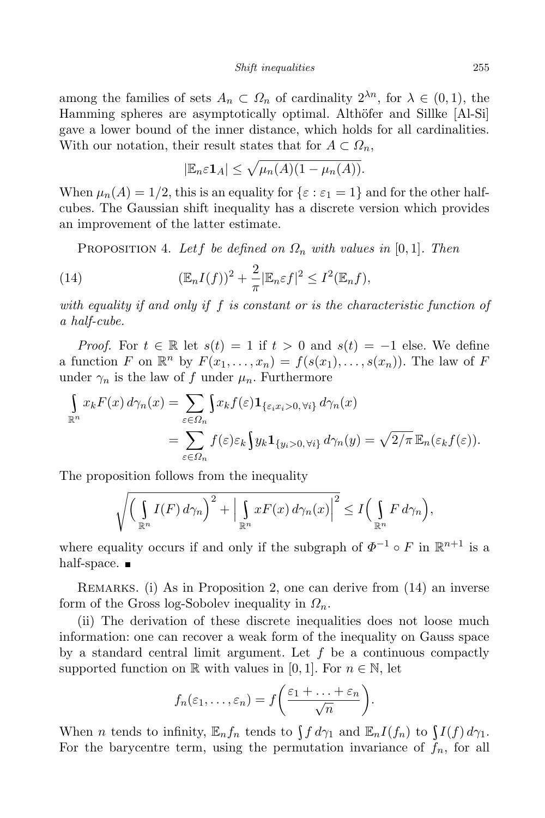among the families of sets  $A_n \subset \Omega_n$  of cardinality  $2^{\lambda n}$ , for  $\lambda \in (0,1)$ , the Hamming spheres are asymptotically optimal. Althöfer and Sillke [Al-Si] gave a lower bound of the inner distance, which holds for all cardinalities. With our notation, their result states that for  $A \subset \Omega_n$ ,

$$
|\mathbb{E}_n \varepsilon \mathbf{1}_A| \leq \sqrt{\mu_n(A)(1-\mu_n(A))}.
$$

When  $\mu_n(A) = 1/2$ , this is an equality for  $\{\varepsilon : \varepsilon_1 = 1\}$  and for the other halfcubes. The Gaussian shift inequality has a discrete version which provides an improvement of the latter estimate.

PROPOSITION 4. Let f be defined on  $\Omega_n$  with values in [0,1]. Then

(14) 
$$
(\mathbb{E}_n I(f))^2 + \frac{2}{\pi} |\mathbb{E}_n \varepsilon f|^2 \leq I^2(\mathbb{E}_n f),
$$

*with equality if and only if f is constant or is the characteristic function of a half-cube.*

*Proof.* For  $t \in \mathbb{R}$  let  $s(t) = 1$  if  $t > 0$  and  $s(t) = -1$  else. We define a function F on  $\mathbb{R}^n$  by  $F(x_1,...,x_n) = f(s(x_1),...,s(x_n))$ . The law of F under  $\gamma_n$  is the law of f under  $\mu_n$ . Furthermore

$$
\int_{\mathbb{R}^n} x_k F(x) d\gamma_n(x) = \sum_{\varepsilon \in \Omega_n} \int x_k f(\varepsilon) \mathbf{1}_{\{\varepsilon_i x_i > 0, \forall i\}} d\gamma_n(x)
$$
  
= 
$$
\sum_{\varepsilon \in \Omega_n} f(\varepsilon) \varepsilon_k \int y_k \mathbf{1}_{\{y_i > 0, \forall i\}} d\gamma_n(y) = \sqrt{2/\pi} \mathbb{E}_n(\varepsilon_k f(\varepsilon)).
$$

The proposition follows from the inequality

$$
\sqrt{\left(\int_{\mathbb{R}^n} I(F) d\gamma_n\right)^2 + \left|\int_{\mathbb{R}^n} x F(x) d\gamma_n(x)\right|^2} \leq I\left(\int_{\mathbb{R}^n} F d\gamma_n\right),
$$

where equality occurs if and only if the subgraph of  $\Phi^{-1} \circ F$  in  $\mathbb{R}^{n+1}$  is a half-space.  $\blacksquare$ 

REMARKS. (i) As in Proposition 2, one can derive from (14) an inverse form of the Gross log-Sobolev inequality in *Ωn*.

(ii) The derivation of these discrete inequalities does not loose much information: one can recover a weak form of the inequality on Gauss space by a standard central limit argument. Let *f* be a continuous compactly supported function on R with values in [0, 1]. For  $n \in \mathbb{N}$ , let

$$
f_n(\varepsilon_1,\ldots,\varepsilon_n)=f\bigg(\frac{\varepsilon_1+\ldots+\varepsilon_n}{\sqrt{n}}\bigg).
$$

When *n* tends to infinity,  $\mathbb{E}_n f_n$  tends to  $\int f d\gamma_1$  and  $\mathbb{E}_n I(f_n)$  to  $\int I(f) d\gamma_1$ . For the barycentre term, using the permutation invariance of  $f_n$ , for all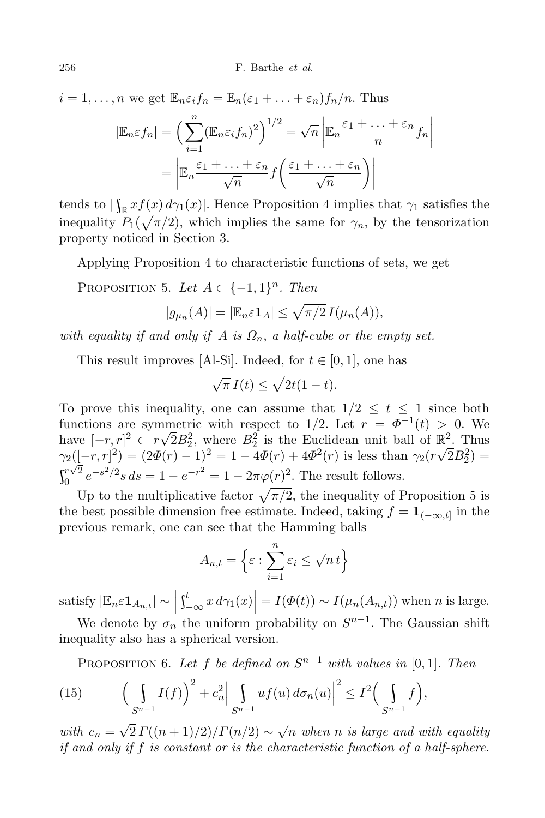$i = 1, \ldots, n$  we get  $\mathbb{E}_n \varepsilon_i f_n = \mathbb{E}_n (\varepsilon_1 + \ldots + \varepsilon_n) f_n / n$ . Thus  $|\mathbb{E}_n \varepsilon f_n| = \left(\sum^n (\mathbb{E}_n \varepsilon_i f_n)^2\right)^{1/2} = \sqrt{n}$ *i*=1  $\begin{array}{c} \hline \rule{0pt}{2.2ex} \\ \rule{0pt}{2.2ex} \end{array}$  $\mathbb{E}_n \frac{\varepsilon_1 + \ldots + \varepsilon_n}{n}$  $\frac{n}{n}$ *f<sub>n</sub>*  =  $\begin{array}{c} \hline \rule{0pt}{2.2ex} \\ \rule{0pt}{2.2ex} \end{array}$  $\mathbb{E}_n \frac{\varepsilon_1 + \ldots + \varepsilon_n}{\sqrt{n}} f$  $\left(\frac{\varepsilon_1 + \ldots + \varepsilon_n}{\sqrt{n}}\right)$  $\bigg) \bigg|$ 

tends to  $|\int_{\mathbb{R}} xf(x) dx$ <sup>1</sup>/<sub>*x*</sub> *d*<sup>2</sup>/<sub>1</sub>(*x*)<sup>*|*</sup>. Hence Proposition 4 implies that  $\gamma_1$  satisfies the inequality  $P_1(\sqrt{\pi/2})$ , which implies the same for  $\gamma_n$ , by the tensorization property noticed in Section 3.

Applying Proposition 4 to characteristic functions of sets, we get

PROPOSITION 5. Let  $A \subset \{-1,1\}^n$ . Then

$$
|g_{\mu_n}(A)| = |\mathbb{E}_n \in \mathbf{1}_A| \le \sqrt{\pi/2} \, I(\mu_n(A)),
$$

*with equality if and only if A is Ωn*, *a half-cube or the empty set.*

This result improves [Al-Si]. Indeed, for  $t \in [0, 1]$ , one has

$$
\sqrt{\pi} I(t) \le \sqrt{2t(1-t)}.
$$

To prove this inequality, one can assume that  $1/2 \leq t \leq 1$  since both functions are symmetric with respect to 1/2. Let  $r = \Phi^{-1}(t) > 0$ . We have  $[-r, r]^2 \subset r\sqrt{2}B_2^2$ , where  $B_2^2$  is the Euclidean unit ball of  $\mathbb{R}^2$ . Thus  $\gamma_2([-r,r]^2) = (2\Phi(r) - 1)^2 = 1 - 4\Phi(r) + 4\Phi^2(r)$  is less than  $\gamma_2(r\sqrt{2}B_2^2) =$  $\int_0^r \sqrt{2} \, e^{-r}$  $e^{-s^2/2} s ds = 1 - e^{-r^2} = 1 - 2\pi \varphi(r)^2$ . The result follows.

Up to the multiplicative factor  $\sqrt{\pi/2}$ , the inequality of Proposition 5 is the best possible dimension free estimate. Indeed, taking  $f = \mathbf{1}_{(-\infty,t]}$  in the previous remark, one can see that the Hamming balls

$$
A_{n,t} = \left\{ \varepsilon : \sum_{i=1}^{n} \varepsilon_i \le \sqrt{n} \, t \right\}
$$

satisfy  $|\mathbb{E}_n \varepsilon \mathbf{1}_{A_{n,t}}| \sim \left| \int_{-\infty}^t x \right|$  $\left| \int_{-\infty}^{t} x \, d\gamma_1(x) \right| = I(\Phi(t)) \sim I(\mu_n(A_{n,t}))$  when *n* is large.

We denote by  $\sigma_n$  the uniform probability on  $S^{n-1}$ . The Gaussian shift inequality also has a spherical version.

PROPOSITION 6. Let f be defined on  $S^{n-1}$  with values in [0,1]. Then

(15) 
$$
\left(\int\limits_{S^{n-1}} I(f)\right)^2 + c_n^2 \left|\int\limits_{S^{n-1}} uf(u) d\sigma_n(u)\right|^2 \leq I^2 \left(\int\limits_{S^{n-1}} f\right),
$$

*with*  $c_n = \sqrt{2} \Gamma((n+1)/2)/\Gamma(n/2) \sim \sqrt{n}$  *when n is large and with equality if and only if f is constant or is the characteristic function of a half-sphere.*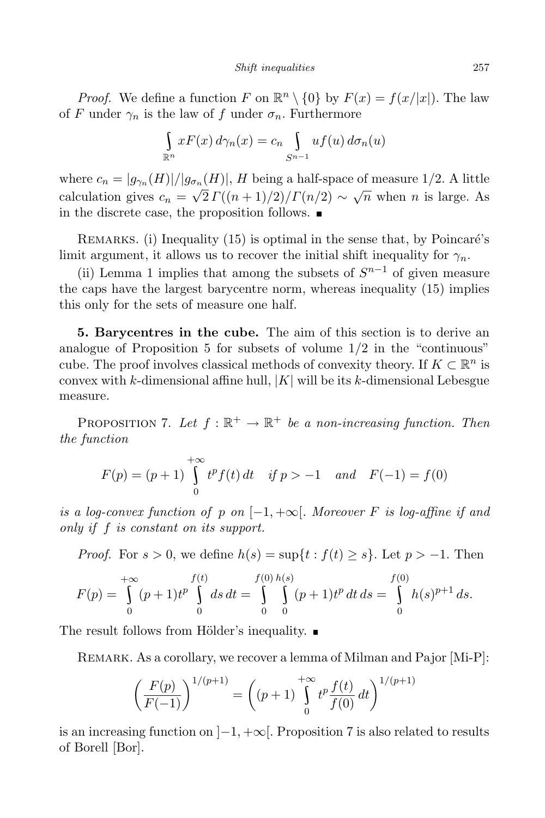*Proof.* We define a function *F* on  $\mathbb{R}^n \setminus \{0\}$  by  $F(x) = f(x/|x|)$ . The law of *F* under  $\gamma_n$  is the law of *f* under  $\sigma_n$ . Furthermore

$$
\int_{\mathbb{R}^n} x F(x) d\gamma_n(x) = c_n \int_{S^{n-1}} u f(u) d\sigma_n(u)
$$

where  $c_n = |g_{\gamma_n}(H)|/|g_{\sigma_n}(H)|$ , *H* being a half-space of measure 1/2. A little calculation gives  $c_n = \sqrt{2} \Gamma((n+1)/2)/\Gamma(n/2) \sim \sqrt{n}$  when *n* is large. As in the discrete case, the proposition follows.

REMARKS. (i) Inequality  $(15)$  is optimal in the sense that, by Poincaré's limit argument, it allows us to recover the initial shift inequality for  $\gamma_n$ .

(ii) Lemma 1 implies that among the subsets of  $S^{n-1}$  of given measure the caps have the largest barycentre norm, whereas inequality (15) implies this only for the sets of measure one half.

**5. Barycentres in the cube.** The aim of this section is to derive an analogue of Proposition 5 for subsets of volume 1*/*2 in the "continuous" cube. The proof involves classical methods of convexity theory. If  $K \subset \mathbb{R}^n$  is convex with *k*-dimensional affine hull, *|K|* will be its *k*-dimensional Lebesgue measure.

PROPOSITION 7. Let  $f : \mathbb{R}^+ \to \mathbb{R}^+$  be a non-increasing function. Then *the function*

$$
F(p) = (p+1) \int_{0}^{+\infty} t^{p} f(t) dt \quad \text{if } p > -1 \quad \text{and} \quad F(-1) = f(0)
$$

*is a log-convex function of p on*  $[-1, +\infty]$ *. Moreover F is log-affine if* and *only if f is constant on its support.*

*Proof.* For  $s > 0$ , we define  $h(s) = \sup\{t : f(t) \geq s\}$ . Let  $p > -1$ . Then

$$
F(p) = \int_{0}^{+\infty} (p+1)t^{p} \int_{0}^{f(t)} ds dt = \int_{0}^{f(0)} \int_{0}^{h(s)} (p+1)t^{p} dt ds = \int_{0}^{f(0)} h(s)^{p+1} ds.
$$

The result follows from Hölder's inequality.  $\blacksquare$ 

REMARK. As a corollary, we recover a lemma of Milman and Pajor [Mi-P]:

$$
\left(\frac{F(p)}{F(-1)}\right)^{1/(p+1)} = \left((p+1)\int_{0}^{+\infty} t^{p} \frac{f(t)}{f(0)} dt\right)^{1/(p+1)}
$$

is an increasing function on ]*−*1*,* +*∞*[. Proposition 7 is also related to results of Borell [Bor].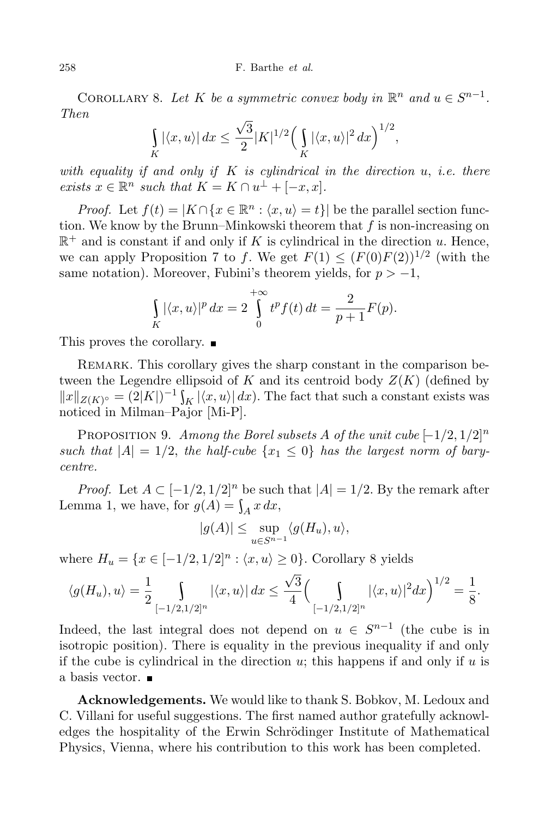COROLLARY 8. Let *K* be a symmetric convex body in  $\mathbb{R}^n$  and  $u \in S^{n-1}$ . *Then*

$$
\int_{K} |\langle x, u \rangle| dx \leq \frac{\sqrt{3}}{2} |K|^{1/2} \Big( \int_{K} |\langle x, u \rangle|^{2} dx \Big)^{1/2},
$$

*with equality if and only if K is cylindrical in the direction u*, *i.e. there exists*  $x \in \mathbb{R}^n$  *such that*  $K = K \cap u^{\perp} + [-x, x]$ .

*Proof.* Let  $f(t) = |K \cap \{x \in \mathbb{R}^n : \langle x, u \rangle = t\}|$  be the parallel section function. We know by the Brunn–Minkowski theorem that *f* is non-increasing on  $\mathbb{R}^+$  and is constant if and only if *K* is cylindrical in the direction *u*. Hence, we can apply Proposition 7 to *f*. We get  $F(1) \leq (F(0)F(2))^{1/2}$  (with the same notation). Moreover, Fubini's theorem yields, for  $p > -1$ ,

$$
\int_{K} |\langle x, u \rangle|^{p} dx = 2 \int_{0}^{+\infty} t^{p} f(t) dt = \frac{2}{p+1} F(p).
$$

This proves the corollary.

REMARK. This corollary gives the sharp constant in the comparison between the Legendre ellipsoid of  $K$  and its centroid body  $Z(K)$  (defined by  $||x||_{Z(K)^{\circ}} = (2|K|)^{-1} \int_{K} |\langle x, u \rangle| dx$ . The fact that such a constant exists was noticed in Milman–Pajor [Mi-P].

PROPOSITION 9. *Among the Borel subsets A of the unit cube*  $[-1/2, 1/2]^n$ *such that*  $|A| = 1/2$ , *the half-cube*  $\{x_1 \leq 0\}$  *has the largest norm of barycentre.*

*Proof.* Let  $A \subset [-1/2, 1/2]^n$  be such that  $|A| = 1/2$ . By the remark after Lemma 1, we have, for  $g(A) = \int_A x \, dx$ ,

$$
|g(A)| \leq \sup_{u \in S^{n-1}} \langle g(H_u), u \rangle,
$$

where  $H_u = \{x \in [-1/2, 1/2]^n : \langle x, u \rangle \ge 0\}$ . Corollary 8 yields

$$
\langle g(H_u), u \rangle = \frac{1}{2} \int_{[-1/2, 1/2]^n} |\langle x, u \rangle| dx \le \frac{\sqrt{3}}{4} \Big( \int_{[-1/2, 1/2]^n} |\langle x, u \rangle|^2 dx \Big)^{1/2} = \frac{1}{8}.
$$

Indeed, the last integral does not depend on  $u \in S^{n-1}$  (the cube is in isotropic position). There is equality in the previous inequality if and only if the cube is cylindrical in the direction *u*; this happens if and only if *u* is a basis vector.

**Acknowledgements.** We would like to thank S. Bobkov, M. Ledoux and C. Villani for useful suggestions. The first named author gratefully acknowledges the hospitality of the Erwin Schrödinger Institute of Mathematical Physics, Vienna, where his contribution to this work has been completed.